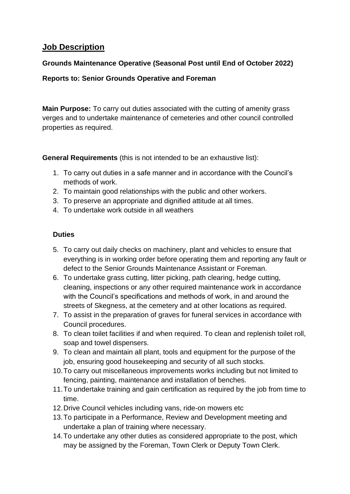# **Job Description**

# **Grounds Maintenance Operative (Seasonal Post until End of October 2022)**

### **Reports to: Senior Grounds Operative and Foreman**

**Main Purpose:** To carry out duties associated with the cutting of amenity grass verges and to undertake maintenance of cemeteries and other council controlled properties as required.

**General Requirements** (this is not intended to be an exhaustive list):

- 1. To carry out duties in a safe manner and in accordance with the Council's methods of work.
- 2. To maintain good relationships with the public and other workers.
- 3. To preserve an appropriate and dignified attitude at all times.
- 4. To undertake work outside in all weathers

# **Duties**

- 5. To carry out daily checks on machinery, plant and vehicles to ensure that everything is in working order before operating them and reporting any fault or defect to the Senior Grounds Maintenance Assistant or Foreman.
- 6. To undertake grass cutting, litter picking, path clearing, hedge cutting, cleaning, inspections or any other required maintenance work in accordance with the Council's specifications and methods of work, in and around the streets of Skegness, at the cemetery and at other locations as required.
- 7. To assist in the preparation of graves for funeral services in accordance with Council procedures.
- 8. To clean toilet facilities if and when required. To clean and replenish toilet roll, soap and towel dispensers.
- 9. To clean and maintain all plant, tools and equipment for the purpose of the job, ensuring good housekeeping and security of all such stocks.
- 10.To carry out miscellaneous improvements works including but not limited to fencing, painting, maintenance and installation of benches.
- 11.To undertake training and gain certification as required by the job from time to time.
- 12.Drive Council vehicles including vans, ride-on mowers etc
- 13.To participate in a Performance, Review and Development meeting and undertake a plan of training where necessary.
- 14.To undertake any other duties as considered appropriate to the post, which may be assigned by the Foreman, Town Clerk or Deputy Town Clerk.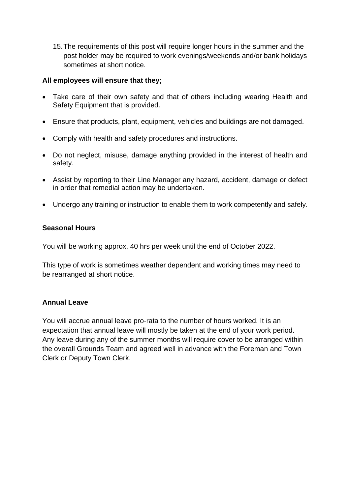15.The requirements of this post will require longer hours in the summer and the post holder may be required to work evenings/weekends and/or bank holidays sometimes at short notice.

#### **All employees will ensure that they;**

- Take care of their own safety and that of others including wearing Health and Safety Equipment that is provided.
- Ensure that products, plant, equipment, vehicles and buildings are not damaged.
- Comply with health and safety procedures and instructions.
- Do not neglect, misuse, damage anything provided in the interest of health and safety.
- Assist by reporting to their Line Manager any hazard, accident, damage or defect in order that remedial action may be undertaken.
- Undergo any training or instruction to enable them to work competently and safely.

#### **Seasonal Hours**

You will be working approx. 40 hrs per week until the end of October 2022.

This type of work is sometimes weather dependent and working times may need to be rearranged at short notice.

#### **Annual Leave**

You will accrue annual leave pro-rata to the number of hours worked. It is an expectation that annual leave will mostly be taken at the end of your work period. Any leave during any of the summer months will require cover to be arranged within the overall Grounds Team and agreed well in advance with the Foreman and Town Clerk or Deputy Town Clerk.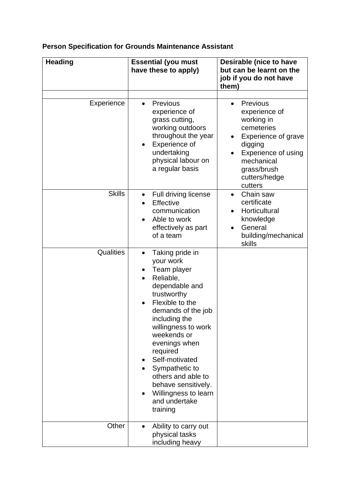# **Person Specification for Grounds Maintenance Assistant**

| <b>Heading</b> | <b>Essential (you must</b><br>have these to apply)                                                                                                                                                                                                                                                                                                                                                  | Desirable (nice to have<br>but can be learnt on the<br>job if you do not have<br>them)                                                                                                             |
|----------------|-----------------------------------------------------------------------------------------------------------------------------------------------------------------------------------------------------------------------------------------------------------------------------------------------------------------------------------------------------------------------------------------------------|----------------------------------------------------------------------------------------------------------------------------------------------------------------------------------------------------|
| Experience     | <b>Previous</b><br>$\bullet$<br>experience of<br>grass cutting,<br>working outdoors<br>throughout the year<br>Experience of<br>$\bullet$<br>undertaking<br>physical labour on<br>a regular basis                                                                                                                                                                                                    | <b>Previous</b><br>$\bullet$<br>experience of<br>working in<br>cemeteries<br>Experience of grave<br>digging<br><b>Experience of using</b><br>mechanical<br>grass/brush<br>cutters/hedge<br>cutters |
| <b>Skills</b>  | Full driving license<br>$\bullet$<br>Effective<br>communication<br>Able to work<br>$\bullet$<br>effectively as part<br>of a team                                                                                                                                                                                                                                                                    | Chain saw<br>$\bullet$<br>certificate<br>Horticultural<br>knowledge<br>General<br>$\bullet$<br>building/mechanical<br>skills                                                                       |
| Qualities      | Taking pride in<br>$\bullet$<br>your work<br>Team player<br>$\bullet$<br>Reliable,<br>dependable and<br>trustworthy<br>Flexible to the<br>demands of the job<br>including the<br>willingness to work<br>weekends or<br>evenings when<br>required<br>Self-motivated<br>Sympathetic to<br>others and able to<br>behave sensitively.<br>Willingness to learn<br>$\bullet$<br>and undertake<br>training |                                                                                                                                                                                                    |
| Other          | Ability to carry out<br>$\bullet$<br>physical tasks<br>including heavy                                                                                                                                                                                                                                                                                                                              |                                                                                                                                                                                                    |